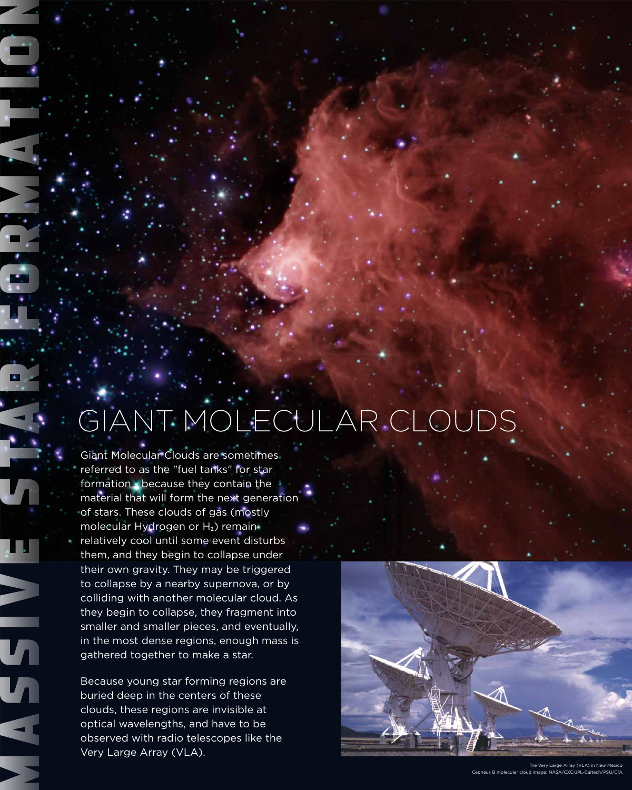Giant Molecular Clouds are sometimes referred to as the "fuel tanks" for star formation - because they contain the

material that will form the next generation of stars. These clouds of gas (mostly molecular Hydrogen or H<sub>2</sub>) remain relatively cool until some event disturbs them, and they begin to collapse under their own gravity. They may be triggered to collapse by a nearby supernova, or by colliding with another molecular cloud. As they begin to collapse, they fragment into smaller and smaller pieces, and eventually, in the most dense regions, enough mass is gathered together to make a star.

Because young star forming regions are buried deep in the centers of these clouds, these regions are invisible at optical wavelengths, and have to be observed with radio telescopes like the Very Large Array (VLA).





## GIANT MOLECULAR CLOUDS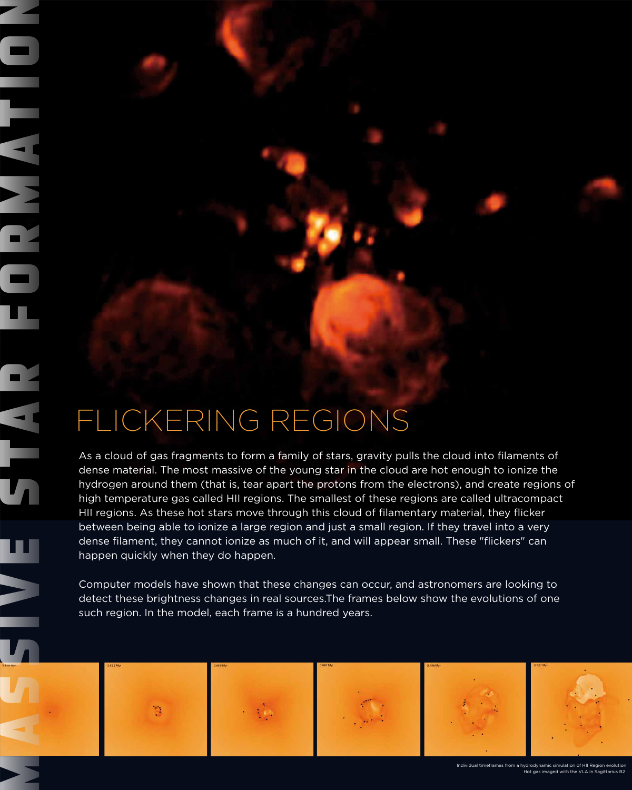As a cloud of gas fragments to form a family of stars, gravity pulls the cloud into filaments of dense material. The most massive of the young star in the cloud are hot enough to ionize the hydrogen around them (that is, tear apart the protons from the electrons), and create regions of

high temperature gas called HII regions. The smallest of these regions are called ultracompact HII regions. As these hot stars move through this cloud of filamentary material, they flicker between being able to ionize a large region and just a small region. If they travel into a very dense filament, they cannot ionize as much of it, and will appear small. These "flickers" can happen quickly when they do happen.

Computer models have shown that these changes can occur, and astronomers are looking to detect these brightness changes in real sources.The frames below show the evolutions of one such region. In the model, each frame is a hundred years.



## FLICKERING REGIONS